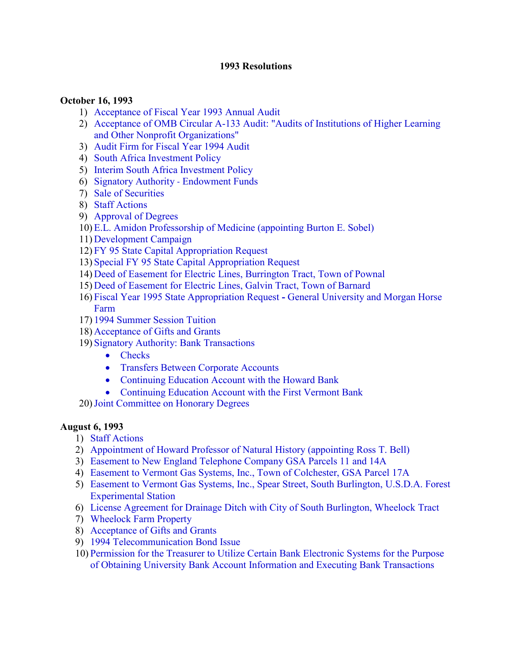#### **1993 Resolutions**

#### **October 16, 1993**

- 1) [Acceptance of Fiscal Year 1993 Annual Audit](#page-2-0)
- 2) [Acceptance of OMB Circular A-133 Audit: "Audits of Institutions of Higher Learning](#page-2-0)  and Other Nonprofit Organizations"
- 3) [Audit Firm for Fiscal Year 1994 Audit](#page-2-0)
- 4) [South Africa Investment Policy](#page-2-0)
- 5) [Interim South Africa Investment Policy](#page-3-0)
- 6) [Signatory Authority](#page-4-0)  Endowment Funds
- 7) [Sale of Securities](#page-4-0)
- 8) [Staff Actions](#page-4-0)
- 9) [Approval of Degrees](#page-4-0)
- 10) [E.L. Amidon Professorship of Medicine \(appointing Burton E. Sobel\)](#page-4-0)
- 11) [Development Campaign](#page-5-0)
- 12) [FY 95 State Capital Appropriation Request](#page-5-0)
- 13) [Special FY 95 State Capital Appropriation Request](#page-5-0)
- 14) [Deed of Easement for Electric Lines, Burrington Tract, Town of Pownal](#page-6-0)
- 15) [Deed of Easement for Electric Lines, Galvin Tract, Town of Barnard](#page-6-0)
- 16) [Fiscal Year 1995 State Appropriation Request](#page-7-0) **-** General University and Morgan Horse Farm
- 17) [1994 Summer Session Tuition](#page-7-0)
- 18) [Acceptance of Gifts and Grants](#page-7-0)
- 19) [Signatory Authority: Bank Transactions](#page-7-0) 
	- [Checks](#page-7-0)
	- [Transfers Between Corporate Accounts](#page-7-0)
	- [Continuing Education Account with the Howard Bank](#page-7-0)
	- [Continuing Education Account with the First Vermont Bank](#page-8-0)
- 20)[Joint Committee on Honorary Degrees](#page-8-0)

#### **August 6, 1993**

- 1) [Staff Actions](#page-10-0)
- 2) [Appointment of Howard Professor of Natural History \(appointing Ross T. Bell\)](#page-10-0)
- 3) [Easement to New England Telephone Company GSA Parcels 11 and 14A](#page-10-0)
- 4) [Easement to Vermont Gas Systems, Inc., Town of Colchester, GSA Parcel 17A](#page-10-0)
- 5) [Easement to Vermont Gas Systems, Inc., Spear Street, South Burlington, U.S.D.A. Forest](#page-11-0)  Experimental Station
- 6) [License Agreement for Drainage Ditch with City of South Burlington, Wheelock Tract](#page-12-0)
- 7) [Wheelock Farm Property](#page-12-0)
- 8) [Acceptance of Gifts and Grants](#page-13-0)
- 9) [1994 Telecommunication Bond Issue](#page-13-0)
- 10) Permission for the Treasurer to Utilize Certain Bank Electronic Systems for the Purpose [of Obtaining University Bank Account Information and Executing Bank Transactions](#page-13-0)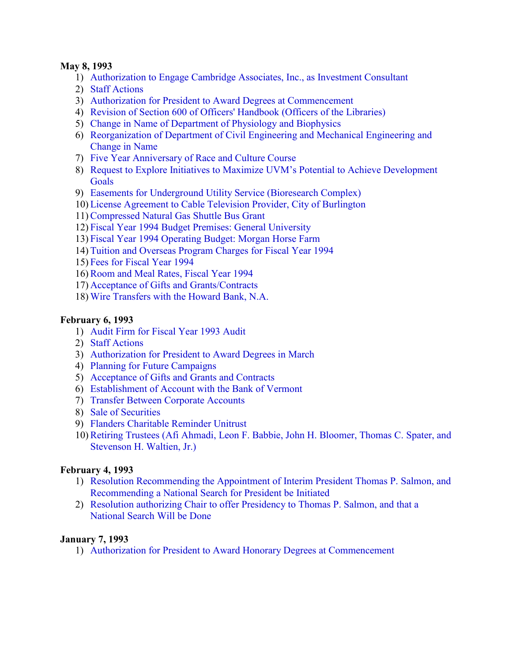#### **May 8, 1993**

- 1) [Authorization to Engage Cambridge Associates, Inc., as Investment Consultant](#page-14-0)
- 2) [Staff Actions](#page-14-0)
- 3) [Authorization for President to Award Degrees at Commencement](#page-14-0)
- 4) [Revision of Section 600 of Officers' Handbook \(Officers of the Libraries\)](#page-14-0)
- 5) [Change in Name of Department of Physiology and Biophysics](#page-14-0)
- 6) [Reorganization of Department of Civil Engineering and Mechanical Engineering and](#page-14-0)  Change in Name
- 7) [Five Year Anniversary of Race and Culture Course](#page-15-0)
- 8) [Request to Explore Initiatives to Maximize UVM's Potential to Achieve Development](#page-15-0) Goals
- 9) [Easements for Underground Utility Service \(Bioresearch Complex\)](#page-16-0)
- 10) [License Agreement to Cable Television Provider, City of Burlington](#page-16-0)
- 11)[Compressed Natural Gas Shuttle Bus Grant](#page-17-0)
- 12) [Fiscal Year 1994 Budget Premises: General University](#page-18-0)
- 13) [Fiscal Year 1994 Operating Budget: Morgan Horse Farm](#page-18-0)
- 14) [Tuition and Overseas Program Charges for Fiscal Year 1994](#page-18-0)
- 15) [Fees for Fiscal Year 1994](#page-18-0)
- 16)[Room and Meal Rates, Fiscal Year 1994](#page-18-0)
- 17) [Acceptance of Gifts and Grants/Contracts](#page-19-0)
- 18) [Wire Transfers with the Howard Bank, N.A.](#page-19-0)

#### **February 6, 1993**

- 1) [Audit Firm for Fiscal Year 1993 Audit](#page-20-0)
- 2) [Staff Actions](#page-20-0)
- 3) [Authorization for President to Award Degrees in March](#page-20-0)
- 4) [Planning for Future Campaigns](#page-20-0)
- 5) [Acceptance of Gifts and Grants and Contracts](#page-21-0)
- 6) [Establishment of Account with the Bank of Vermont](#page-21-0)
- 7) [Transfer Between Corporate Accounts](#page-21-0)
- 8) [Sale of Securities](#page-21-0)
- 9) [Flanders Charitable Reminder Unitrust](#page-22-0)
- 10)[Retiring Trustees \(Afi Ahmadi, Leon F. Babbie, John H. Bloomer, Thomas C. Spater, and](#page-22-0)  Stevenson H. Waltien, Jr.)

#### **February 4, 1993**

- 1) [Resolution Recommending the Appointment of Interim President Thomas P. Salmon, and](#page-24-0) Recommending a National Search for President be Initiated
- 2) [Resolution authorizing Chair to offer Presidency to Thomas P. Salmon, and that](#page-24-0) a National Search Will be Done

#### **January 7, 1993**

1) [Authorization for President to Award Honorary Degrees at Commencement](#page-25-0)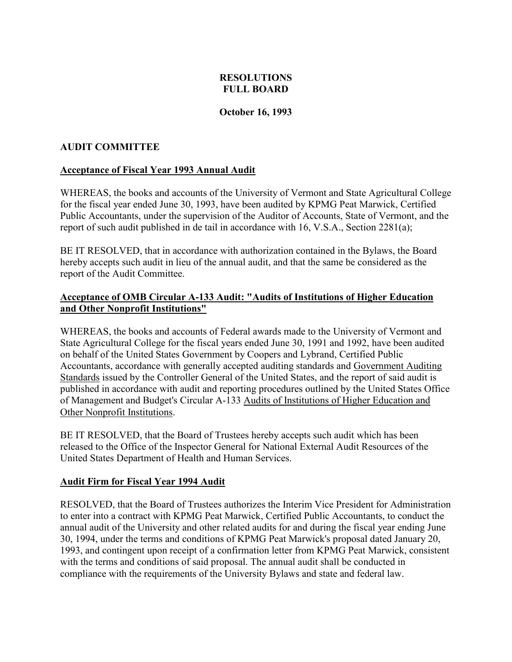## **RESOLUTIONS FULL BOARD**

#### **October 16, 1993**

## <span id="page-2-0"></span>**AUDIT COMMITTEE**

#### **Acceptance of Fiscal Year 1993 Annual Audit**

WHEREAS, the books and accounts of the University of Vermont and State Agricultural College for the fiscal year ended June 30, 1993, have been audited by KPMG Peat Marwick, Certified Public Accountants, under the supervision of the Auditor of Accounts, State of Vermont, and the report of such audit published in de tail in accordance with 16, V.S.A., Section 2281(a);

BE IT RESOLVED, that in accordance with authorization contained in the Bylaws, the Board hereby accepts such audit in lieu of the annual audit, and that the same be considered as the report of the Audit Committee.

#### **Acceptance of OMB Circular A-133 Audit: "Audits of Institutions of Higher Education and Other Nonprofit Institutions"**

WHEREAS, the books and accounts of Federal awards made to the University of Vermont and State Agricultural College for the fiscal years ended June 30, 1991 and 1992, have been audited on behalf of the United States Government by Coopers and Lybrand, Certified Public Accountants, accordance with generally accepted auditing standards and Government Auditing Standards issued by the Controller General of the United States, and the report of said audit is published in accordance with audit and reporting procedures outlined by the United States Office of Management and Budget's Circular A-133 Audits of Institutions of Higher Education and Other Nonprofit Institutions.

BE IT RESOLVED, that the Board of Trustees hereby accepts such audit which has been released to the Office of the Inspector General for National External Audit Resources of the United States Department of Health and Human Services.

## **Audit Firm for Fiscal Year 1994 Audit**

RESOLVED, that the Board of Trustees authorizes the Interim Vice President for Administration to enter into a contract with KPMG Peat Marwick, Certified Public Accountants, to conduct the annual audit of the University and other related audits for and during the fiscal year ending June 30, 1994, under the terms and conditions of KPMG Peat Marwick's proposal dated January 20, 1993, and contingent upon receipt of a confirmation letter from KPMG Peat Marwick, consistent with the terms and conditions of said proposal. The annual audit shall be conducted in compliance with the requirements of the University Bylaws and state and federal law.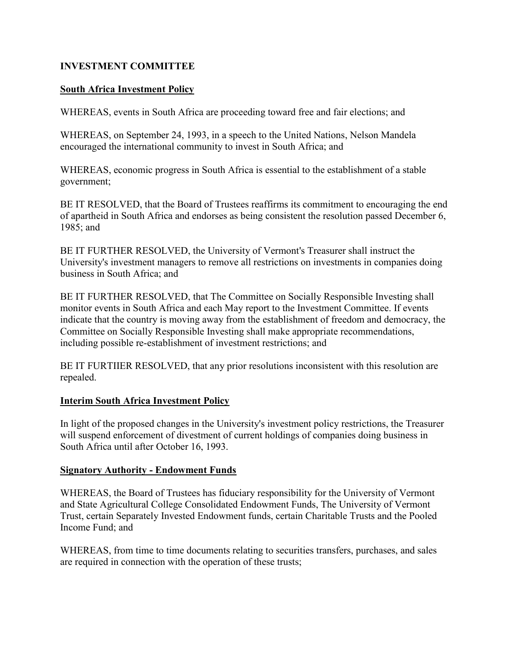## <span id="page-3-0"></span>**INVESTMENT COMMITTEE**

#### **South Africa Investment Policy**

WHEREAS, events in South Africa are proceeding toward free and fair elections; and

WHEREAS, on September 24, 1993, in a speech to the United Nations, Nelson Mandela encouraged the international community to invest in South Africa; and

WHEREAS, economic progress in South Africa is essential to the establishment of a stable government;

BE IT RESOLVED, that the Board of Trustees reaffirms its commitment to encouraging the end of apartheid in South Africa and endorses as being consistent the resolution passed December 6, 1985; and

BE IT FURTHER RESOLVED, the University of Vermont's Treasurer shall instruct the University's investment managers to remove all restrictions on investments in companies doing business in South Africa; and

BE IT FURTHER RESOLVED, that The Committee on Socially Responsible Investing shall monitor events in South Africa and each May report to the Investment Committee. If events indicate that the country is moving away from the establishment of freedom and democracy, the Committee on Socially Responsible Investing shall make appropriate recommendations, including possible re-establishment of investment restrictions; and

BE IT FURTIIER RESOLVED, that any prior resolutions inconsistent with this resolution are repealed.

#### **Interim South Africa Investment Policy**

In light of the proposed changes in the University's investment policy restrictions, the Treasurer will suspend enforcement of divestment of current holdings of companies doing business in South Africa until after October 16, 1993.

#### **Signatory Authority - Endowment Funds**

WHEREAS, the Board of Trustees has fiduciary responsibility for the University of Vermont and State Agricultural College Consolidated Endowment Funds, The University of Vermont Trust, certain Separately Invested Endowment funds, certain Charitable Trusts and the Pooled Income Fund; and

WHEREAS, from time to time documents relating to securities transfers, purchases, and sales are required in connection with the operation of these trusts;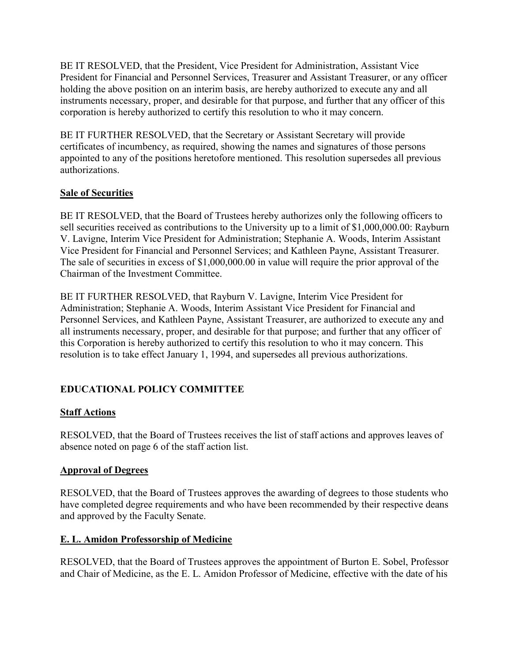<span id="page-4-0"></span>BE IT RESOLVED, that the President, Vice President for Administration, Assistant Vice President for Financial and Personnel Services, Treasurer and Assistant Treasurer, or any officer holding the above position on an interim basis, are hereby authorized to execute any and all instruments necessary, proper, and desirable for that purpose, and further that any officer of this corporation is hereby authorized to certify this resolution to who it may concern.

BE IT FURTHER RESOLVED, that the Secretary or Assistant Secretary will provide certificates of incumbency, as required, showing the names and signatures of those persons appointed to any of the positions heretofore mentioned. This resolution supersedes all previous authorizations.

# **Sale of Securities**

BE IT RESOLVED, that the Board of Trustees hereby authorizes only the following officers to sell securities received as contributions to the University up to a limit of \$1,000,000.00: Rayburn V. Lavigne, Interim Vice President for Administration; Stephanie A. Woods, Interim Assistant Vice President for Financial and Personnel Services; and Kathleen Payne, Assistant Treasurer. The sale of securities in excess of \$1,000,000.00 in value will require the prior approval of the Chairman of the Investment Committee.

BE IT FURTHER RESOLVED, that Rayburn V. Lavigne, Interim Vice President for Administration; Stephanie A. Woods, Interim Assistant Vice President for Financial and Personnel Services, and Kathleen Payne, Assistant Treasurer, are authorized to execute any and all instruments necessary, proper, and desirable for that purpose; and further that any officer of this Corporation is hereby authorized to certify this resolution to who it may concern. This resolution is to take effect January 1, 1994, and supersedes all previous authorizations.

# **EDUCATIONAL POLICY COMMITTEE**

# **Staff Actions**

RESOLVED, that the Board of Trustees receives the list of staff actions and approves leaves of absence noted on page 6 of the staff action list.

## **Approval of Degrees**

RESOLVED, that the Board of Trustees approves the awarding of degrees to those students who have completed degree requirements and who have been recommended by their respective deans and approved by the Faculty Senate.

## **E. L. Amidon Professorship of Medicine**

RESOLVED, that the Board of Trustees approves the appointment of Burton E. Sobel, Professor and Chair of Medicine, as the E. L. Amidon Professor of Medicine, effective with the date of his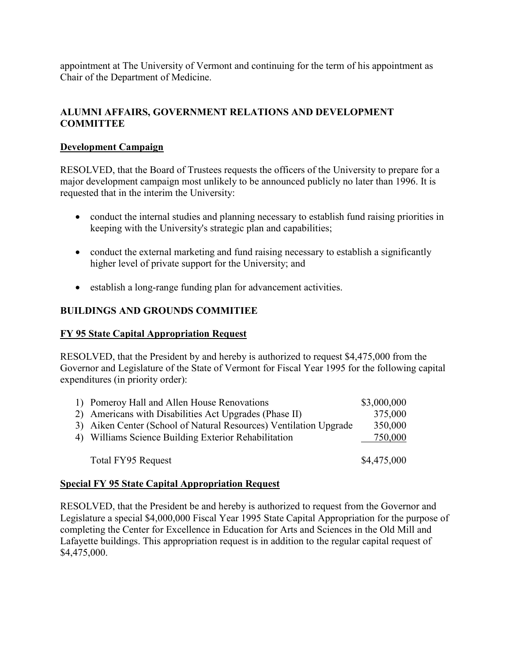<span id="page-5-0"></span>appointment at The University of Vermont and continuing for the term of his appointment as Chair of the Department of Medicine.

# **ALUMNI AFFAIRS, GOVERNMENT RELATIONS AND DEVELOPMENT COMMITTEE**

# **Development Campaign**

RESOLVED, that the Board of Trustees requests the officers of the University to prepare for a major development campaign most unlikely to be announced publicly no later than 1996. It is requested that in the interim the University:

- conduct the internal studies and planning necessary to establish fund raising priorities in keeping with the University's strategic plan and capabilities;
- conduct the external marketing and fund raising necessary to establish a significantly higher level of private support for the University; and
- establish a long-range funding plan for advancement activities.

# **BUILDINGS AND GROUNDS COMMITIEE**

# **FY 95 State Capital Appropriation Request**

RESOLVED, that the President by and hereby is authorized to request \$4,475,000 from the Governor and Legislature of the State of Vermont for Fiscal Year 1995 for the following capital expenditures (in priority order):

| 1) Pomeroy Hall and Allen House Renovations                       | \$3,000,000 |
|-------------------------------------------------------------------|-------------|
| 2) Americans with Disabilities Act Upgrades (Phase II)            | 375,000     |
| 3) Aiken Center (School of Natural Resources) Ventilation Upgrade | 350,000     |
| 4) Williams Science Building Exterior Rehabilitation              | 750,000     |
| Total FY95 Request                                                | \$4,475,000 |

## **Special FY 95 State Capital Appropriation Request**

RESOLVED, that the President be and hereby is authorized to request from the Governor and Legislature a special \$4,000,000 Fiscal Year 1995 State Capital Appropriation for the purpose of completing the Center for Excellence in Education for Arts and Sciences in the Old Mill and Lafayette buildings. This appropriation request is in addition to the regular capital request of \$4,475,000.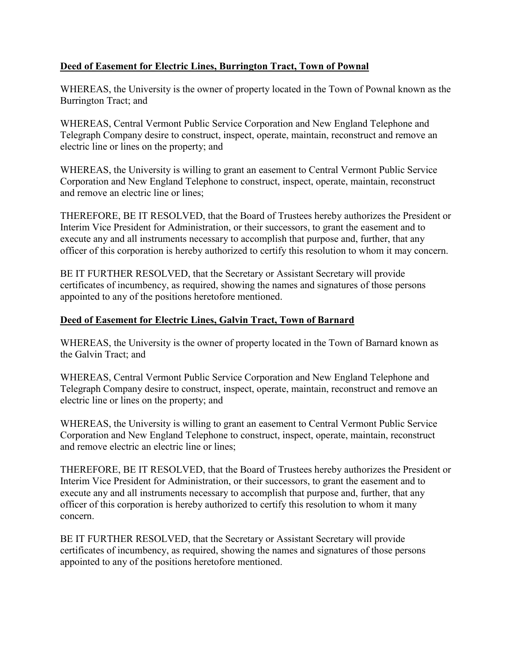# <span id="page-6-0"></span>**Deed of Easement for Electric Lines, Burrington Tract, Town of Pownal**

WHEREAS, the University is the owner of property located in the Town of Pownal known as the Burrington Tract; and

WHEREAS, Central Vermont Public Service Corporation and New England Telephone and Telegraph Company desire to construct, inspect, operate, maintain, reconstruct and remove an electric line or lines on the property; and

WHEREAS, the University is willing to grant an easement to Central Vermont Public Service Corporation and New England Telephone to construct, inspect, operate, maintain, reconstruct and remove an electric line or lines;

THEREFORE, BE IT RESOLVED, that the Board of Trustees hereby authorizes the President or Interim Vice President for Administration, or their successors, to grant the easement and to execute any and all instruments necessary to accomplish that purpose and, further, that any officer of this corporation is hereby authorized to certify this resolution to whom it may concern.

BE IT FURTHER RESOLVED, that the Secretary or Assistant Secretary will provide certificates of incumbency, as required, showing the names and signatures of those persons appointed to any of the positions heretofore mentioned.

# **Deed of Easement for Electric Lines, Galvin Tract, Town of Barnard**

WHEREAS, the University is the owner of property located in the Town of Barnard known as the Galvin Tract; and

WHEREAS, Central Vermont Public Service Corporation and New England Telephone and Telegraph Company desire to construct, inspect, operate, maintain, reconstruct and remove an electric line or lines on the property; and

WHEREAS, the University is willing to grant an easement to Central Vermont Public Service Corporation and New England Telephone to construct, inspect, operate, maintain, reconstruct and remove electric an electric line or lines;

THEREFORE, BE IT RESOLVED, that the Board of Trustees hereby authorizes the President or Interim Vice President for Administration, or their successors, to grant the easement and to execute any and all instruments necessary to accomplish that purpose and, further, that any officer of this corporation is hereby authorized to certify this resolution to whom it many concern.

BE IT FURTHER RESOLVED, that the Secretary or Assistant Secretary will provide certificates of incumbency, as required, showing the names and signatures of those persons appointed to any of the positions heretofore mentioned.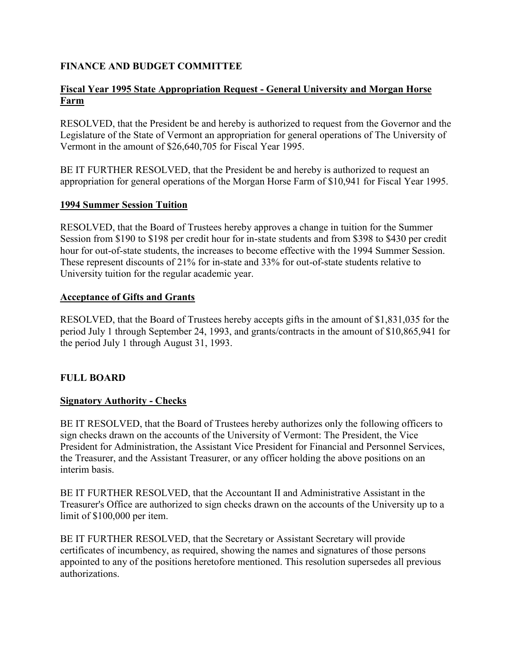## <span id="page-7-0"></span>**FINANCE AND BUDGET COMMITTEE**

## **Fiscal Year 1995 State Appropriation Request - General University and Morgan Horse Farm**

RESOLVED, that the President be and hereby is authorized to request from the Governor and the Legislature of the State of Vermont an appropriation for general operations of The University of Vermont in the amount of \$26,640,705 for Fiscal Year 1995.

BE IT FURTHER RESOLVED, that the President be and hereby is authorized to request an appropriation for general operations of the Morgan Horse Farm of \$10,941 for Fiscal Year 1995.

#### **1994 Summer Session Tuition**

RESOLVED, that the Board of Trustees hereby approves a change in tuition for the Summer Session from \$190 to \$198 per credit hour for in-state students and from \$398 to \$430 per credit hour for out-of-state students, the increases to become effective with the 1994 Summer Session. These represent discounts of 21% for in-state and 33% for out-of-state students relative to University tuition for the regular academic year.

#### **Acceptance of Gifts and Grants**

RESOLVED, that the Board of Trustees hereby accepts gifts in the amount of \$1,831,035 for the period July 1 through September 24, 1993, and grants/contracts in the amount of \$10,865,941 for the period July 1 through August 31, 1993.

## **FULL BOARD**

## **Signatory Authority - Checks**

BE IT RESOLVED, that the Board of Trustees hereby authorizes only the following officers to sign checks drawn on the accounts of the University of Vermont: The President, the Vice President for Administration, the Assistant Vice President for Financial and Personnel Services, the Treasurer, and the Assistant Treasurer, or any officer holding the above positions on an interim basis.

BE IT FURTHER RESOLVED, that the Accountant II and Administrative Assistant in the Treasurer's Office are authorized to sign checks drawn on the accounts of the University up to a limit of \$100,000 per item.

BE IT FURTHER RESOLVED, that the Secretary or Assistant Secretary will provide certificates of incumbency, as required, showing the names and signatures of those persons appointed to any of the positions heretofore mentioned. This resolution supersedes all previous authorizations.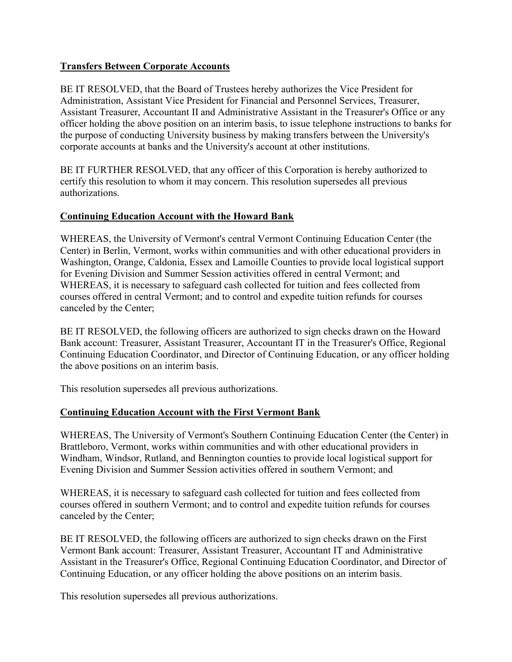## <span id="page-8-0"></span>**Transfers Between Corporate Accounts**

BE IT RESOLVED, that the Board of Trustees hereby authorizes the Vice President for Administration, Assistant Vice President for Financial and Personnel Services, Treasurer, Assistant Treasurer, Accountant II and Administrative Assistant in the Treasurer's Office or any officer holding the above position on an interim basis, to issue telephone instructions to banks for the purpose of conducting University business by making transfers between the University's corporate accounts at banks and the University's account at other institutions.

BE IT FURTHER RESOLVED, that any officer of this Corporation is hereby authorized to certify this resolution to whom it may concern. This resolution supersedes all previous authorizations.

# **Continuing Education Account with the Howard Bank**

WHEREAS, the University of Vermont's central Vermont Continuing Education Center (the Center) in Berlin, Vermont, works within communities and with other educational providers in Washington, Orange, Caldonia, Essex and Lamoille Counties to provide local logistical support for Evening Division and Summer Session activities offered in central Vermont; and WHEREAS, it is necessary to safeguard cash collected for tuition and fees collected from courses offered in central Vermont; and to control and expedite tuition refunds for courses canceled by the Center;

BE IT RESOLVED, the following officers are authorized to sign checks drawn on the Howard Bank account: Treasurer, Assistant Treasurer, Accountant IT in the Treasurer's Office, Regional Continuing Education Coordinator, and Director of Continuing Education, or any officer holding the above positions on an interim basis.

This resolution supersedes all previous authorizations.

# **Continuing Education Account with the First Vermont Bank**

WHEREAS, The University of Vermont's Southern Continuing Education Center (the Center) in Brattleboro, Vermont, works within communities and with other educational providers in Windham, Windsor, Rutland, and Bennington counties to provide local logistical support for Evening Division and Summer Session activities offered in southern Vermont; and

WHEREAS, it is necessary to safeguard cash collected for tuition and fees collected from courses offered in southern Vermont; and to control and expedite tuition refunds for courses canceled by the Center;

BE IT RESOLVED, the following officers are authorized to sign checks drawn on the First Vermont Bank account: Treasurer, Assistant Treasurer, Accountant IT and Administrative Assistant in the Treasurer's Office, Regional Continuing Education Coordinator, and Director of Continuing Education, or any officer holding the above positions on an interim basis.

This resolution supersedes all previous authorizations.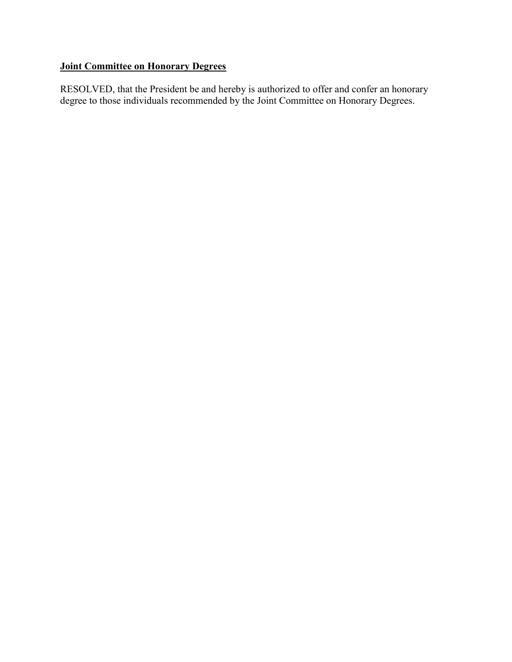# **Joint Committee on Honorary Degrees**

RESOLVED, that the President be and hereby is authorized to offer and confer an honorary degree to those individuals recommended by the Joint Committee on Honorary Degrees.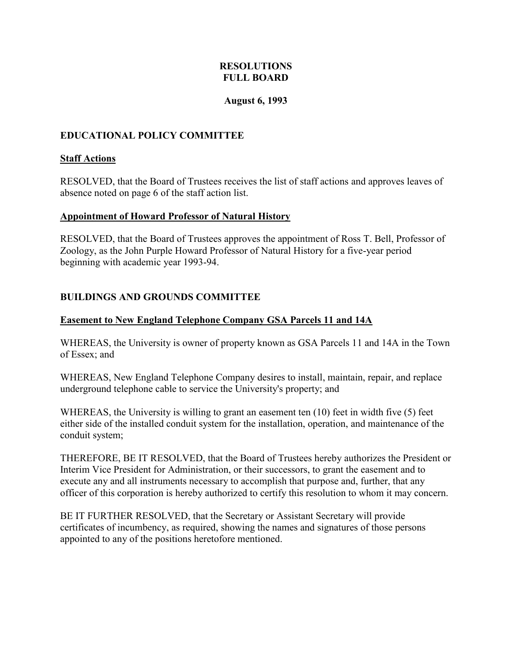### **RESOLUTIONS FULL BOARD**

#### **August 6, 1993**

## <span id="page-10-0"></span>**EDUCATIONAL POLICY COMMITTEE**

#### **Staff Actions**

RESOLVED, that the Board of Trustees receives the list of staff actions and approves leaves of absence noted on page 6 of the staff action list.

#### **Appointment of Howard Professor of Natural History**

RESOLVED, that the Board of Trustees approves the appointment of Ross T. Bell, Professor of Zoology, as the John Purple Howard Professor of Natural History for a five-year period beginning with academic year 1993-94.

## **BUILDINGS AND GROUNDS COMMITTEE**

#### **Easement to New England Telephone Company GSA Parcels 11 and 14A**

WHEREAS, the University is owner of property known as GSA Parcels 11 and 14A in the Town of Essex; and

WHEREAS, New England Telephone Company desires to install, maintain, repair, and replace underground telephone cable to service the University's property; and

WHEREAS, the University is willing to grant an easement ten (10) feet in width five (5) feet either side of the installed conduit system for the installation, operation, and maintenance of the conduit system;

THEREFORE, BE IT RESOLVED, that the Board of Trustees hereby authorizes the President or Interim Vice President for Administration, or their successors, to grant the easement and to execute any and all instruments necessary to accomplish that purpose and, further, that any officer of this corporation is hereby authorized to certify this resolution to whom it may concern.

BE IT FURTHER RESOLVED, that the Secretary or Assistant Secretary will provide certificates of incumbency, as required, showing the names and signatures of those persons appointed to any of the positions heretofore mentioned.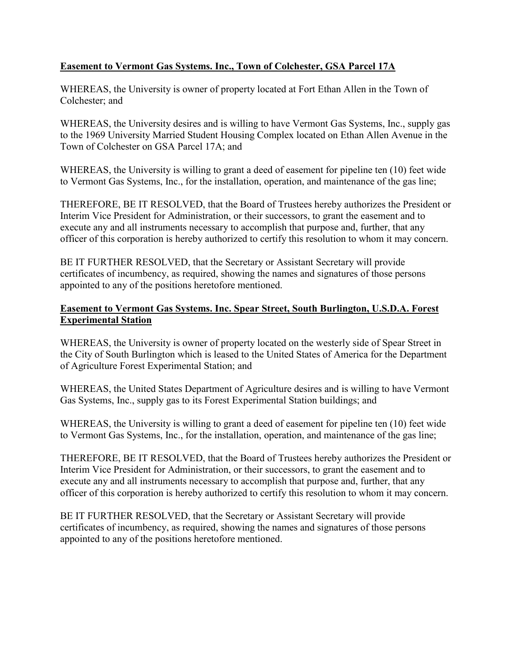# <span id="page-11-0"></span>**Easement to Vermont Gas Systems. Inc., Town of Colchester, GSA Parcel 17A**

WHEREAS, the University is owner of property located at Fort Ethan Allen in the Town of Colchester; and

WHEREAS, the University desires and is willing to have Vermont Gas Systems, Inc., supply gas to the 1969 University Married Student Housing Complex located on Ethan Allen Avenue in the Town of Colchester on GSA Parcel 17A; and

WHEREAS, the University is willing to grant a deed of easement for pipeline ten (10) feet wide to Vermont Gas Systems, Inc., for the installation, operation, and maintenance of the gas line;

THEREFORE, BE IT RESOLVED, that the Board of Trustees hereby authorizes the President or Interim Vice President for Administration, or their successors, to grant the easement and to execute any and all instruments necessary to accomplish that purpose and, further, that any officer of this corporation is hereby authorized to certify this resolution to whom it may concern.

BE IT FURTHER RESOLVED, that the Secretary or Assistant Secretary will provide certificates of incumbency, as required, showing the names and signatures of those persons appointed to any of the positions heretofore mentioned.

## **Easement to Vermont Gas Systems. Inc. Spear Street, South Burlington, U.S.D.A. Forest Experimental Station**

WHEREAS, the University is owner of property located on the westerly side of Spear Street in the City of South Burlington which is leased to the United States of America for the Department of Agriculture Forest Experimental Station; and

WHEREAS, the United States Department of Agriculture desires and is willing to have Vermont Gas Systems, Inc., supply gas to its Forest Experimental Station buildings; and

WHEREAS, the University is willing to grant a deed of easement for pipeline ten (10) feet wide to Vermont Gas Systems, Inc., for the installation, operation, and maintenance of the gas line;

THEREFORE, BE IT RESOLVED, that the Board of Trustees hereby authorizes the President or Interim Vice President for Administration, or their successors, to grant the easement and to execute any and all instruments necessary to accomplish that purpose and, further, that any officer of this corporation is hereby authorized to certify this resolution to whom it may concern.

BE IT FURTHER RESOLVED, that the Secretary or Assistant Secretary will provide certificates of incumbency, as required, showing the names and signatures of those persons appointed to any of the positions heretofore mentioned.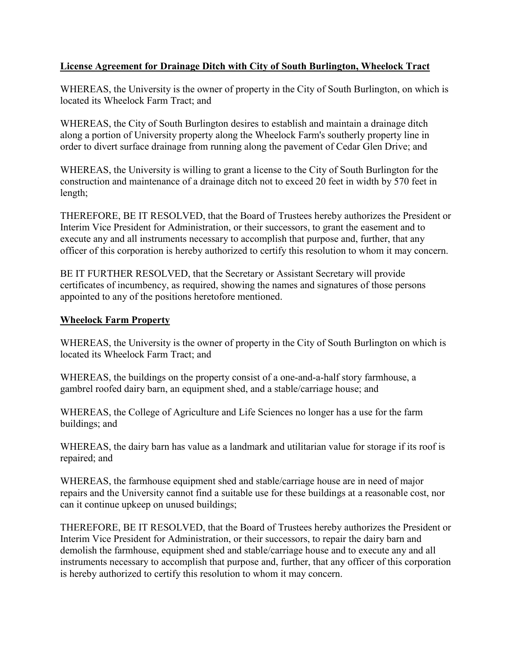## <span id="page-12-0"></span>**License Agreement for Drainage Ditch with City of South Burlington, Wheelock Tract**

WHEREAS, the University is the owner of property in the City of South Burlington, on which is located its Wheelock Farm Tract; and

WHEREAS, the City of South Burlington desires to establish and maintain a drainage ditch along a portion of University property along the Wheelock Farm's southerly property line in order to divert surface drainage from running along the pavement of Cedar Glen Drive; and

WHEREAS, the University is willing to grant a license to the City of South Burlington for the construction and maintenance of a drainage ditch not to exceed 20 feet in width by 570 feet in length;

THEREFORE, BE IT RESOLVED, that the Board of Trustees hereby authorizes the President or Interim Vice President for Administration, or their successors, to grant the easement and to execute any and all instruments necessary to accomplish that purpose and, further, that any officer of this corporation is hereby authorized to certify this resolution to whom it may concern.

BE IT FURTHER RESOLVED, that the Secretary or Assistant Secretary will provide certificates of incumbency, as required, showing the names and signatures of those persons appointed to any of the positions heretofore mentioned.

## **Wheelock Farm Property**

WHEREAS, the University is the owner of property in the City of South Burlington on which is located its Wheelock Farm Tract; and

WHEREAS, the buildings on the property consist of a one-and-a-half story farmhouse, a gambrel roofed dairy barn, an equipment shed, and a stable/carriage house; and

WHEREAS, the College of Agriculture and Life Sciences no longer has a use for the farm buildings; and

WHEREAS, the dairy barn has value as a landmark and utilitarian value for storage if its roof is repaired; and

WHEREAS, the farmhouse equipment shed and stable/carriage house are in need of major repairs and the University cannot find a suitable use for these buildings at a reasonable cost, nor can it continue upkeep on unused buildings;

THEREFORE, BE IT RESOLVED, that the Board of Trustees hereby authorizes the President or Interim Vice President for Administration, or their successors, to repair the dairy barn and demolish the farmhouse, equipment shed and stable/carriage house and to execute any and all instruments necessary to accomplish that purpose and, further, that any officer of this corporation is hereby authorized to certify this resolution to whom it may concern.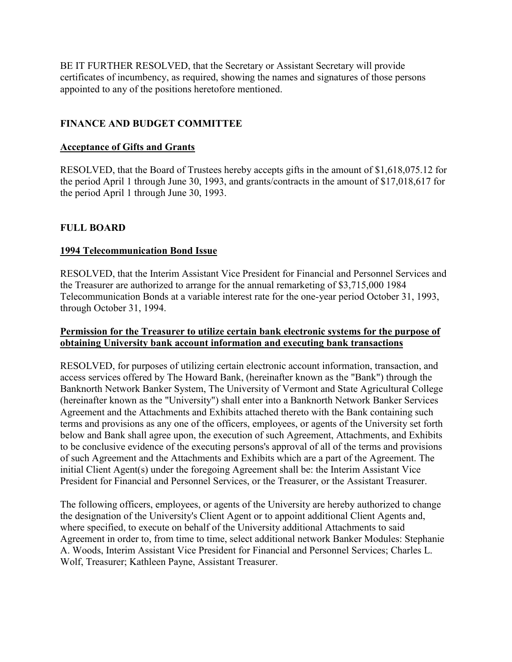<span id="page-13-0"></span>BE IT FURTHER RESOLVED, that the Secretary or Assistant Secretary will provide certificates of incumbency, as required, showing the names and signatures of those persons appointed to any of the positions heretofore mentioned.

# **FINANCE AND BUDGET COMMITTEE**

#### **Acceptance of Gifts and Grants**

RESOLVED, that the Board of Trustees hereby accepts gifts in the amount of \$1,618,075.12 for the period April 1 through June 30, 1993, and grants/contracts in the amount of \$17,018,617 for the period April 1 through June 30, 1993.

## **FULL BOARD**

#### **1994 Telecommunication Bond Issue**

RESOLVED, that the Interim Assistant Vice President for Financial and Personnel Services and the Treasurer are authorized to arrange for the annual remarketing of \$3,715,000 1984 Telecommunication Bonds at a variable interest rate for the one-year period October 31, 1993, through October 31, 1994.

#### **Permission for the Treasurer to utilize certain bank electronic systems for the purpose of obtaining University bank account information and executing bank transactions**

RESOLVED, for purposes of utilizing certain electronic account information, transaction, and access services offered by The Howard Bank, (hereinafter known as the "Bank") through the Banknorth Network Banker System, The University of Vermont and State Agricultural College (hereinafter known as the "University") shall enter into a Banknorth Network Banker Services Agreement and the Attachments and Exhibits attached thereto with the Bank containing such terms and provisions as any one of the officers, employees, or agents of the University set forth below and Bank shall agree upon, the execution of such Agreement, Attachments, and Exhibits to be conclusive evidence of the executing persons's approval of all of the terms and provisions of such Agreement and the Attachments and Exhibits which are a part of the Agreement. The initial Client Agent(s) under the foregoing Agreement shall be: the Interim Assistant Vice President for Financial and Personnel Services, or the Treasurer, or the Assistant Treasurer.

The following officers, employees, or agents of the University are hereby authorized to change the designation of the University's Client Agent or to appoint additional Client Agents and, where specified, to execute on behalf of the University additional Attachments to said Agreement in order to, from time to time, select additional network Banker Modules: Stephanie A. Woods, Interim Assistant Vice President for Financial and Personnel Services; Charles L. Wolf, Treasurer; Kathleen Payne, Assistant Treasurer.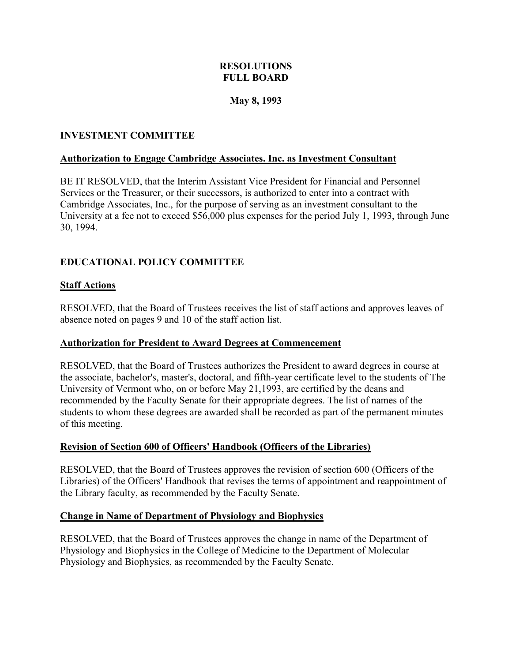## **RESOLUTIONS FULL BOARD**

## **May 8, 1993**

## <span id="page-14-0"></span>**INVESTMENT COMMITTEE**

## **Authorization to Engage Cambridge Associates. Inc. as Investment Consultant**

BE IT RESOLVED, that the Interim Assistant Vice President for Financial and Personnel Services or the Treasurer, or their successors, is authorized to enter into a contract with Cambridge Associates, Inc., for the purpose of serving as an investment consultant to the University at a fee not to exceed \$56,000 plus expenses for the period July 1, 1993, through June 30, 1994.

# **EDUCATIONAL POLICY COMMITTEE**

# **Staff Actions**

RESOLVED, that the Board of Trustees receives the list of staff actions and approves leaves of absence noted on pages 9 and 10 of the staff action list.

## **Authorization for President to Award Degrees at Commencement**

RESOLVED, that the Board of Trustees authorizes the President to award degrees in course at the associate, bachelor's, master's, doctoral, and fifth-year certificate level to the students of The University of Vermont who, on or before May 21,1993, are certified by the deans and recommended by the Faculty Senate for their appropriate degrees. The list of names of the students to whom these degrees are awarded shall be recorded as part of the permanent minutes of this meeting.

## **Revision of Section 600 of Officers' Handbook (Officers of the Libraries)**

RESOLVED, that the Board of Trustees approves the revision of section 600 (Officers of the Libraries) of the Officers' Handbook that revises the terms of appointment and reappointment of the Library faculty, as recommended by the Faculty Senate.

## **Change in Name of Department of Physiology and Biophysics**

RESOLVED, that the Board of Trustees approves the change in name of the Department of Physiology and Biophysics in the College of Medicine to the Department of Molecular Physiology and Biophysics, as recommended by the Faculty Senate.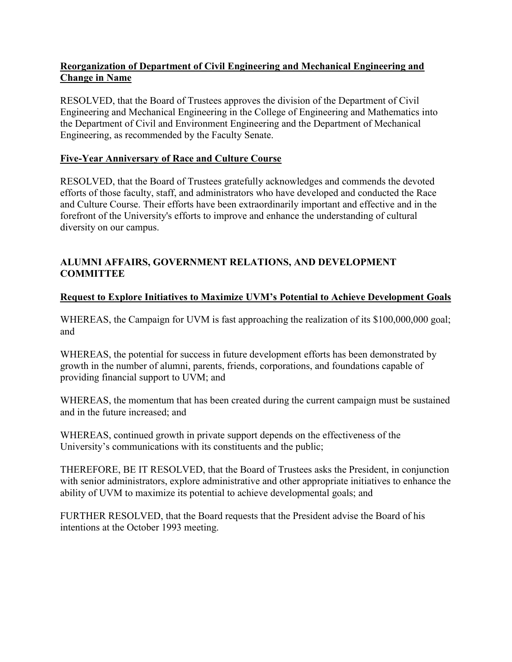## <span id="page-15-0"></span>**Reorganization of Department of Civil Engineering and Mechanical Engineering and Change in Name**

RESOLVED, that the Board of Trustees approves the division of the Department of Civil Engineering and Mechanical Engineering in the College of Engineering and Mathematics into the Department of Civil and Environment Engineering and the Department of Mechanical Engineering, as recommended by the Faculty Senate.

# **Five-Year Anniversary of Race and Culture Course**

RESOLVED, that the Board of Trustees gratefully acknowledges and commends the devoted efforts of those faculty, staff, and administrators who have developed and conducted the Race and Culture Course. Their efforts have been extraordinarily important and effective and in the forefront of the University's efforts to improve and enhance the understanding of cultural diversity on our campus.

# **ALUMNI AFFAIRS, GOVERNMENT RELATIONS, AND DEVELOPMENT COMMITTEE**

# **Request to Explore Initiatives to Maximize UVM's Potential to Achieve Development Goals**

WHEREAS, the Campaign for UVM is fast approaching the realization of its \$100,000,000 goal; and

WHEREAS, the potential for success in future development efforts has been demonstrated by growth in the number of alumni, parents, friends, corporations, and foundations capable of providing financial support to UVM; and

WHEREAS, the momentum that has been created during the current campaign must be sustained and in the future increased; and

WHEREAS, continued growth in private support depends on the effectiveness of the University's communications with its constituents and the public;

THEREFORE, BE IT RESOLVED, that the Board of Trustees asks the President, in conjunction with senior administrators, explore administrative and other appropriate initiatives to enhance the ability of UVM to maximize its potential to achieve developmental goals; and

FURTHER RESOLVED, that the Board requests that the President advise the Board of his intentions at the October 1993 meeting.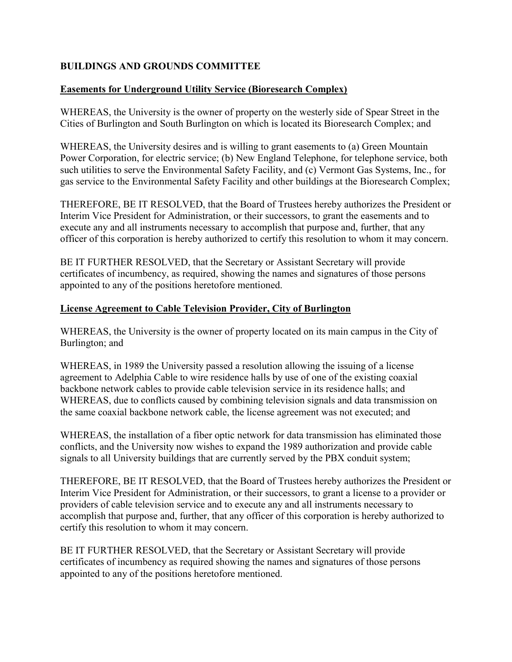# <span id="page-16-0"></span>**BUILDINGS AND GROUNDS COMMITTEE**

## **Easements for Underground Utility Service (Bioresearch Complex)**

WHEREAS, the University is the owner of property on the westerly side of Spear Street in the Cities of Burlington and South Burlington on which is located its Bioresearch Complex; and

WHEREAS, the University desires and is willing to grant easements to (a) Green Mountain Power Corporation, for electric service; (b) New England Telephone, for telephone service, both such utilities to serve the Environmental Safety Facility, and (c) Vermont Gas Systems, Inc., for gas service to the Environmental Safety Facility and other buildings at the Bioresearch Complex;

THEREFORE, BE IT RESOLVED, that the Board of Trustees hereby authorizes the President or Interim Vice President for Administration, or their successors, to grant the easements and to execute any and all instruments necessary to accomplish that purpose and, further, that any officer of this corporation is hereby authorized to certify this resolution to whom it may concern.

BE IT FURTHER RESOLVED, that the Secretary or Assistant Secretary will provide certificates of incumbency, as required, showing the names and signatures of those persons appointed to any of the positions heretofore mentioned.

#### **License Agreement to Cable Television Provider, City of Burlington**

WHEREAS, the University is the owner of property located on its main campus in the City of Burlington; and

WHEREAS, in 1989 the University passed a resolution allowing the issuing of a license agreement to Adelphia Cable to wire residence halls by use of one of the existing coaxial backbone network cables to provide cable television service in its residence halls; and WHEREAS, due to conflicts caused by combining television signals and data transmission on the same coaxial backbone network cable, the license agreement was not executed; and

WHEREAS, the installation of a fiber optic network for data transmission has eliminated those conflicts, and the University now wishes to expand the 1989 authorization and provide cable signals to all University buildings that are currently served by the PBX conduit system;

THEREFORE, BE IT RESOLVED, that the Board of Trustees hereby authorizes the President or Interim Vice President for Administration, or their successors, to grant a license to a provider or providers of cable television service and to execute any and all instruments necessary to accomplish that purpose and, further, that any officer of this corporation is hereby authorized to certify this resolution to whom it may concern.

BE IT FURTHER RESOLVED, that the Secretary or Assistant Secretary will provide certificates of incumbency as required showing the names and signatures of those persons appointed to any of the positions heretofore mentioned.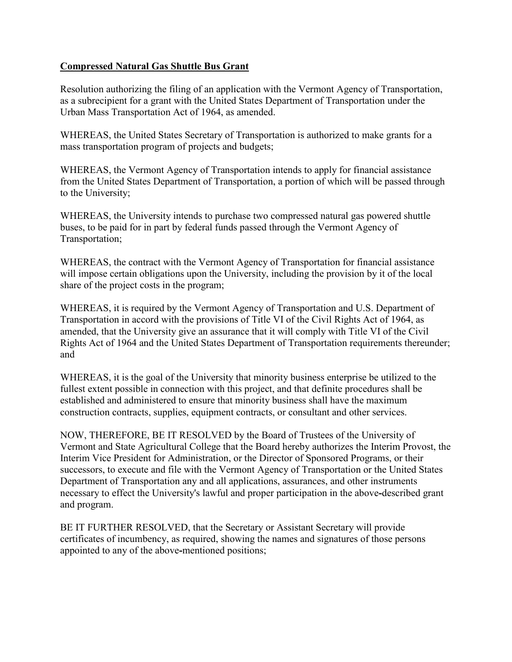## <span id="page-17-0"></span>**Compressed Natural Gas Shuttle Bus Grant**

Resolution authorizing the filing of an application with the Vermont Agency of Transportation, as a subrecipient for a grant with the United States Department of Transportation under the Urban Mass Transportation Act of 1964, as amended.

WHEREAS, the United States Secretary of Transportation is authorized to make grants for a mass transportation program of projects and budgets;

WHEREAS, the Vermont Agency of Transportation intends to apply for financial assistance from the United States Department of Transportation, a portion of which will be passed through to the University;

WHEREAS, the University intends to purchase two compressed natural gas powered shuttle buses, to be paid for in part by federal funds passed through the Vermont Agency of Transportation;

WHEREAS, the contract with the Vermont Agency of Transportation for financial assistance will impose certain obligations upon the University, including the provision by it of the local share of the project costs in the program;

WHEREAS, it is required by the Vermont Agency of Transportation and U.S. Department of Transportation in accord with the provisions of Title VI of the Civil Rights Act of 1964, as amended, that the University give an assurance that it will comply with Title VI of the Civil Rights Act of 1964 and the United States Department of Transportation requirements thereunder; and

WHEREAS, it is the goal of the University that minority business enterprise be utilized to the fullest extent possible in connection with this project, and that definite procedures shall be established and administered to ensure that minority business shall have the maximum construction contracts, supplies, equipment contracts, or consultant and other services.

NOW, THEREFORE, BE IT RESOLVED by the Board of Trustees of the University of Vermont and State Agricultural College that the Board hereby authorizes the Interim Provost, the Interim Vice President for Administration, or the Director of Sponsored Programs, or their successors, to execute and file with the Vermont Agency of Transportation or the United States Department of Transportation any and all applications, assurances, and other instruments necessary to effect the University's lawful and proper participation in the above**-**described grant and program.

BE IT FURTHER RESOLVED, that the Secretary or Assistant Secretary will provide certificates of incumbency, as required, showing the names and signatures of those persons appointed to any of the above**-**mentioned positions;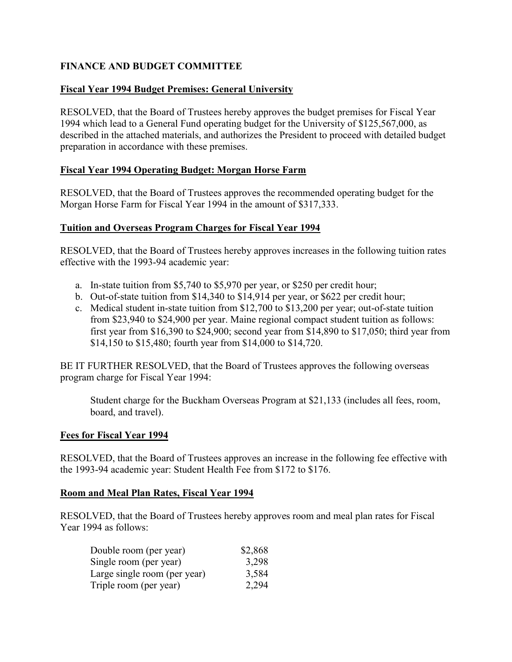# <span id="page-18-0"></span>**FINANCE AND BUDGET COMMITTEE**

## **Fiscal Year 1994 Budget Premises: General University**

RESOLVED, that the Board of Trustees hereby approves the budget premises for Fiscal Year 1994 which lead to a General Fund operating budget for the University of \$125,567,000, as described in the attached materials, and authorizes the President to proceed with detailed budget preparation in accordance with these premises.

## **Fiscal Year 1994 Operating Budget: Morgan Horse Farm**

RESOLVED, that the Board of Trustees approves the recommended operating budget for the Morgan Horse Farm for Fiscal Year 1994 in the amount of \$317,333.

## **Tuition and Overseas Program Charges for Fiscal Year 1994**

RESOLVED, that the Board of Trustees hereby approves increases in the following tuition rates effective with the 1993-94 academic year:

- a. In-state tuition from \$5,740 to \$5,970 per year, or \$250 per credit hour;
- b. Out-of-state tuition from \$14,340 to \$14,914 per year, or \$622 per credit hour;
- c. Medical student in-state tuition from \$12,700 to \$13,200 per year; out-of-state tuition from \$23,940 to \$24,900 per year. Maine regional compact student tuition as follows: first year from \$16,390 to \$24,900; second year from \$14,890 to \$17,050; third year from \$14,150 to \$15,480; fourth year from \$14,000 to \$14,720.

BE IT FURTHER RESOLVED, that the Board of Trustees approves the following overseas program charge for Fiscal Year 1994:

Student charge for the Buckham Overseas Program at \$21,133 (includes all fees, room, board, and travel).

## **Fees for Fiscal Year 1994**

RESOLVED, that the Board of Trustees approves an increase in the following fee effective with the 1993-94 academic year: Student Health Fee from \$172 to \$176.

## **Room and Meal Plan Rates, Fiscal Year 1994**

RESOLVED, that the Board of Trustees hereby approves room and meal plan rates for Fiscal Year 1994 as follows:

| Double room (per year)       | \$2,868 |
|------------------------------|---------|
| Single room (per year)       | 3,298   |
| Large single room (per year) | 3,584   |
| Triple room (per year)       | 2,294   |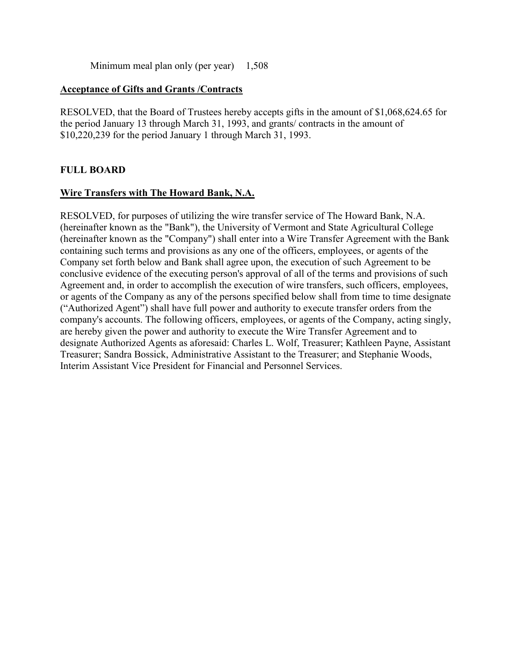Minimum meal plan only (per year) 1,508

#### <span id="page-19-0"></span>**Acceptance of Gifts and Grants /Contracts**

RESOLVED, that the Board of Trustees hereby accepts gifts in the amount of \$1,068,624.65 for the period January 13 through March 31, 1993, and grants/ contracts in the amount of \$10,220,239 for the period January 1 through March 31, 1993.

## **FULL BOARD**

## **Wire Transfers with The Howard Bank, N.A.**

RESOLVED, for purposes of utilizing the wire transfer service of The Howard Bank, N.A. (hereinafter known as the "Bank"), the University of Vermont and State Agricultural College (hereinafter known as the "Company") shall enter into a Wire Transfer Agreement with the Bank containing such terms and provisions as any one of the officers, employees, or agents of the Company set forth below and Bank shall agree upon, the execution of such Agreement to be conclusive evidence of the executing person's approval of all of the terms and provisions of such Agreement and, in order to accomplish the execution of wire transfers, such officers, employees, or agents of the Company as any of the persons specified below shall from time to time designate ("Authorized Agent") shall have full power and authority to execute transfer orders from the company's accounts. The following officers, employees, or agents of the Company, acting singly, are hereby given the power and authority to execute the Wire Transfer Agreement and to designate Authorized Agents as aforesaid: Charles L. Wolf, Treasurer; Kathleen Payne, Assistant Treasurer; Sandra Bossick, Administrative Assistant to the Treasurer; and Stephanie Woods, Interim Assistant Vice President for Financial and Personnel Services.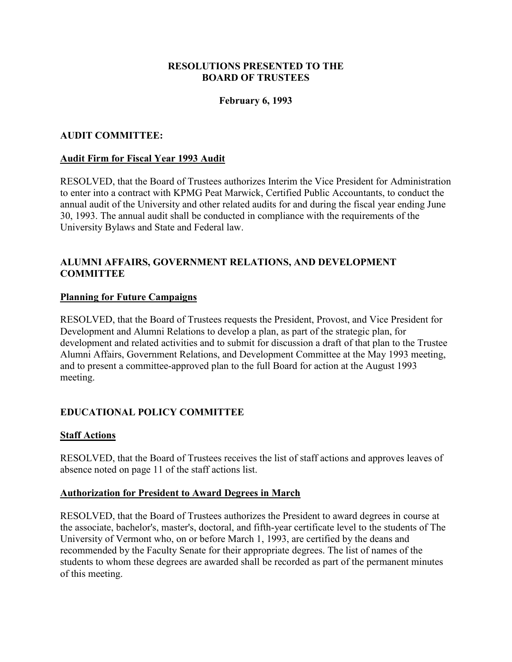#### **RESOLUTIONS PRESENTED TO THE BOARD OF TRUSTEES**

#### **February 6, 1993**

#### <span id="page-20-0"></span>**AUDIT COMMITTEE:**

#### **Audit Firm for Fiscal Year 1993 Audit**

RESOLVED, that the Board of Trustees authorizes Interim the Vice President for Administration to enter into a contract with KPMG Peat Marwick, Certified Public Accountants, to conduct the annual audit of the University and other related audits for and during the fiscal year ending June 30, 1993. The annual audit shall be conducted in compliance with the requirements of the University Bylaws and State and Federal law.

#### **ALUMNI AFFAIRS, GOVERNMENT RELATIONS, AND DEVELOPMENT COMMITTEE**

#### **Planning for Future Campaigns**

RESOLVED, that the Board of Trustees requests the President, Provost, and Vice President for Development and Alumni Relations to develop a plan, as part of the strategic plan, for development and related activities and to submit for discussion a draft of that plan to the Trustee Alumni Affairs, Government Relations, and Development Committee at the May 1993 meeting, and to present a committee-approved plan to the full Board for action at the August 1993 meeting.

## **EDUCATIONAL POLICY COMMITTEE**

#### **Staff Actions**

RESOLVED, that the Board of Trustees receives the list of staff actions and approves leaves of absence noted on page 11 of the staff actions list.

#### **Authorization for President to Award Degrees in March**

RESOLVED, that the Board of Trustees authorizes the President to award degrees in course at the associate, bachelor's, master's, doctoral, and fifth-year certificate level to the students of The University of Vermont who, on or before March 1, 1993, are certified by the deans and recommended by the Faculty Senate for their appropriate degrees. The list of names of the students to whom these degrees are awarded shall be recorded as part of the permanent minutes of this meeting.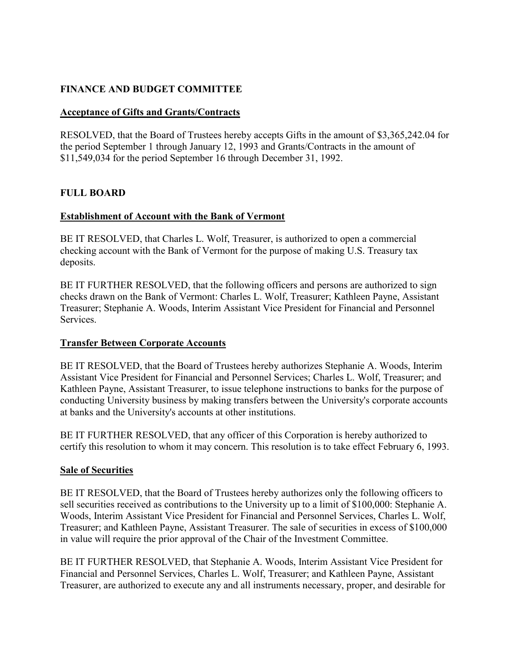# <span id="page-21-0"></span>**FINANCE AND BUDGET COMMITTEE**

#### **Acceptance of Gifts and Grants/Contracts**

RESOLVED, that the Board of Trustees hereby accepts Gifts in the amount of \$3,365,242.04 for the period September 1 through January 12, 1993 and Grants/Contracts in the amount of \$11,549,034 for the period September 16 through December 31, 1992.

#### **FULL BOARD**

#### **Establishment of Account with the Bank of Vermont**

BE IT RESOLVED, that Charles L. Wolf, Treasurer, is authorized to open a commercial checking account with the Bank of Vermont for the purpose of making U.S. Treasury tax deposits.

BE IT FURTHER RESOLVED, that the following officers and persons are authorized to sign checks drawn on the Bank of Vermont: Charles L. Wolf, Treasurer; Kathleen Payne, Assistant Treasurer; Stephanie A. Woods, Interim Assistant Vice President for Financial and Personnel Services.

#### **Transfer Between Corporate Accounts**

BE IT RESOLVED, that the Board of Trustees hereby authorizes Stephanie A. Woods, Interim Assistant Vice President for Financial and Personnel Services; Charles L. Wolf, Treasurer; and Kathleen Payne, Assistant Treasurer, to issue telephone instructions to banks for the purpose of conducting University business by making transfers between the University's corporate accounts at banks and the University's accounts at other institutions.

BE IT FURTHER RESOLVED, that any officer of this Corporation is hereby authorized to certify this resolution to whom it may concern. This resolution is to take effect February 6, 1993.

#### **Sale of Securities**

BE IT RESOLVED, that the Board of Trustees hereby authorizes only the following officers to sell securities received as contributions to the University up to a limit of \$100,000: Stephanie A. Woods, Interim Assistant Vice President for Financial and Personnel Services, Charles L. Wolf, Treasurer; and Kathleen Payne, Assistant Treasurer. The sale of securities in excess of \$100,000 in value will require the prior approval of the Chair of the Investment Committee.

BE IT FURTHER RESOLVED, that Stephanie A. Woods, Interim Assistant Vice President for Financial and Personnel Services, Charles L. Wolf, Treasurer; and Kathleen Payne, Assistant Treasurer, are authorized to execute any and all instruments necessary, proper, and desirable for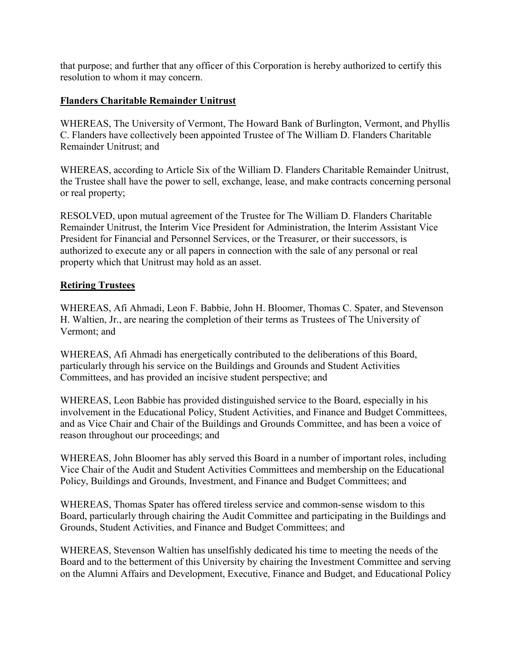<span id="page-22-0"></span>that purpose; and further that any officer of this Corporation is hereby authorized to certify this resolution to whom it may concern.

# **Flanders Charitable Remainder Unitrust**

WHEREAS, The University of Vermont, The Howard Bank of Burlington, Vermont, and Phyllis C. Flanders have collectively been appointed Trustee of The William D. Flanders Charitable Remainder Unitrust; and

WHEREAS, according to Article Six of the William D. Flanders Charitable Remainder Unitrust, the Trustee shall have the power to sell, exchange, lease, and make contracts concerning personal or real property;

RESOLVED, upon mutual agreement of the Trustee for The William D. Flanders Charitable Remainder Unitrust, the Interim Vice President for Administration, the Interim Assistant Vice President for Financial and Personnel Services, or the Treasurer, or their successors, is authorized to execute any or all papers in connection with the sale of any personal or real property which that Unitrust may hold as an asset.

## **Retiring Trustees**

WHEREAS, Afi Ahmadi, Leon F. Babbie, John H. Bloomer, Thomas C. Spater, and Stevenson H. Waltien, Jr., are nearing the completion of their terms as Trustees of The University of Vermont; and

WHEREAS, Afi Ahmadi has energetically contributed to the deliberations of this Board, particularly through his service on the Buildings and Grounds and Student Activities Committees, and has provided an incisive student perspective; and

WHEREAS, Leon Babbie has provided distinguished service to the Board, especially in his involvement in the Educational Policy, Student Activities, and Finance and Budget Committees, and as Vice Chair and Chair of the Buildings and Grounds Committee, and has been a voice of reason throughout our proceedings; and

WHEREAS, John Bloomer has ably served this Board in a number of important roles, including Vice Chair of the Audit and Student Activities Committees and membership on the Educational Policy, Buildings and Grounds, Investment, and Finance and Budget Committees; and

WHEREAS, Thomas Spater has offered tireless service and common-sense wisdom to this Board, particularly through chairing the Audit Committee and participating in the Buildings and Grounds, Student Activities, and Finance and Budget Committees; and

WHEREAS, Stevenson Waltien has unselfishly dedicated his time to meeting the needs of the Board and to the betterment of this University by chairing the Investment Committee and serving on the Alumni Affairs and Development, Executive, Finance and Budget, and Educational Policy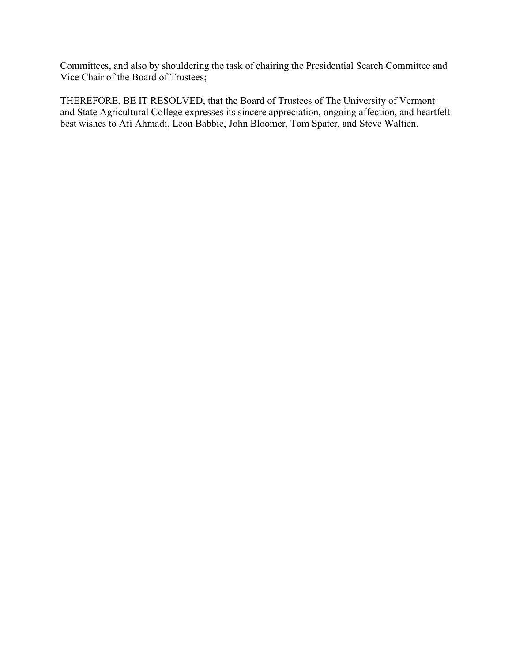Committees, and also by shouldering the task of chairing the Presidential Search Committee and Vice Chair of the Board of Trustees;

THEREFORE, BE IT RESOLVED, that the Board of Trustees of The University of Vermont and State Agricultural College expresses its sincere appreciation, ongoing affection, and heartfelt best wishes to Afi Ahmadi, Leon Babbie, John Bloomer, Tom Spater, and Steve Waltien.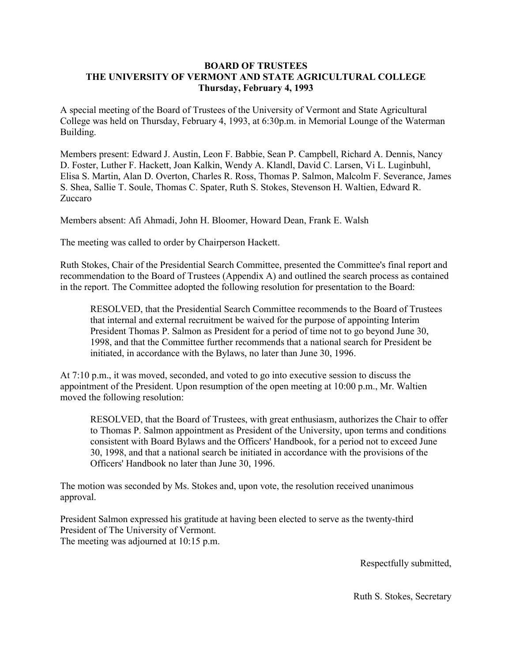#### <span id="page-24-0"></span>**BOARD OF TRUSTEES THE UNIVERSITY OF VERMONT AND STATE AGRICULTURAL COLLEGE Thursday, February 4, 1993**

A special meeting of the Board of Trustees of the University of Vermont and State Agricultural College was held on Thursday, February 4, 1993, at 6:30p.m. in Memorial Lounge of the Waterman Building.

Members present: Edward J. Austin, Leon F. Babbie, Sean P. Campbell, Richard A. Dennis, Nancy D. Foster, Luther F. Hackett, Joan Kalkin, Wendy A. Klandl, David C. Larsen, Vi L. Luginbuhl, Elisa S. Martin, Alan D. Overton, Charles R. Ross, Thomas P. Salmon, Malcolm F. Severance, James S. Shea, Sallie T. Soule, Thomas C. Spater, Ruth S. Stokes, Stevenson H. Waltien, Edward R. Zuccaro

Members absent: Afi Ahmadi, John H. Bloomer, Howard Dean, Frank E. Walsh

The meeting was called to order by Chairperson Hackett.

Ruth Stokes, Chair of the Presidential Search Committee, presented the Committee's final report and recommendation to the Board of Trustees (Appendix A) and outlined the search process as contained in the report. The Committee adopted the following resolution for presentation to the Board:

RESOLVED, that the Presidential Search Committee recommends to the Board of Trustees that internal and external recruitment be waived for the purpose of appointing Interim President Thomas P. Salmon as President for a period of time not to go beyond June 30, 1998, and that the Committee further recommends that a national search for President be initiated, in accordance with the Bylaws, no later than June 30, 1996.

At 7:10 p.m., it was moved, seconded, and voted to go into executive session to discuss the appointment of the President. Upon resumption of the open meeting at 10:00 p.m., Mr. Waltien moved the following resolution:

RESOLVED, that the Board of Trustees, with great enthusiasm, authorizes the Chair to offer to Thomas P. Salmon appointment as President of the University, upon terms and conditions consistent with Board Bylaws and the Officers' Handbook, for a period not to exceed June 30, 1998, and that a national search be initiated in accordance with the provisions of the Officers' Handbook no later than June 30, 1996.

The motion was seconded by Ms. Stokes and, upon vote, the resolution received unanimous approval.

President Salmon expressed his gratitude at having been elected to serve as the twenty-third President of The University of Vermont. The meeting was adjourned at 10:15 p.m.

Respectfully submitted,

Ruth S. Stokes, Secretary